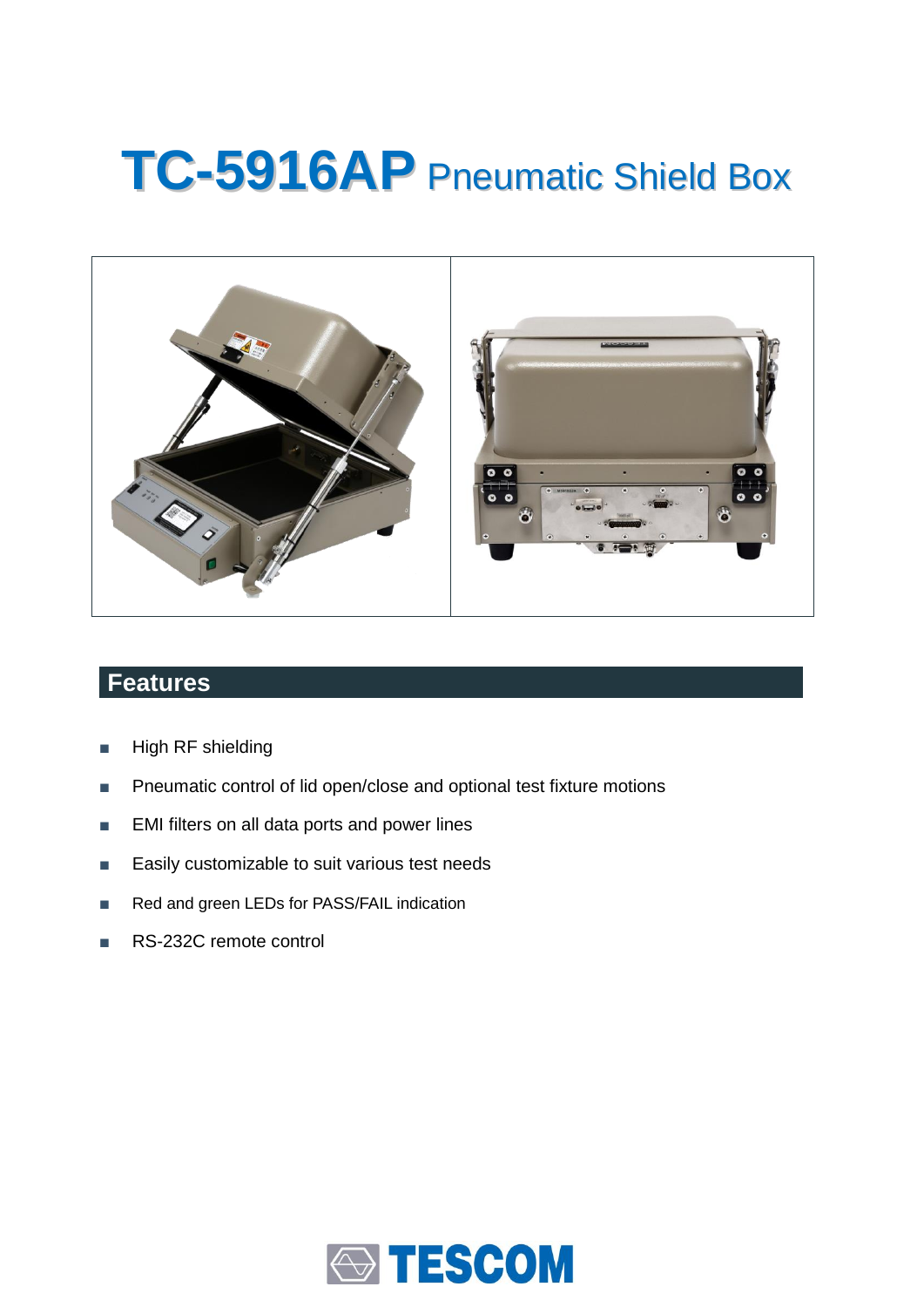# **TC-5916AP** Pneumatic Shield Box



## **Features**

- High RF shielding
- Pneumatic control of lid open/close and optional test fixture motions
- EMI filters on all data ports and power lines
- Easily customizable to suit various test needs
- Red and green LEDs for PASS/FAIL indication
- RS-232C remote control

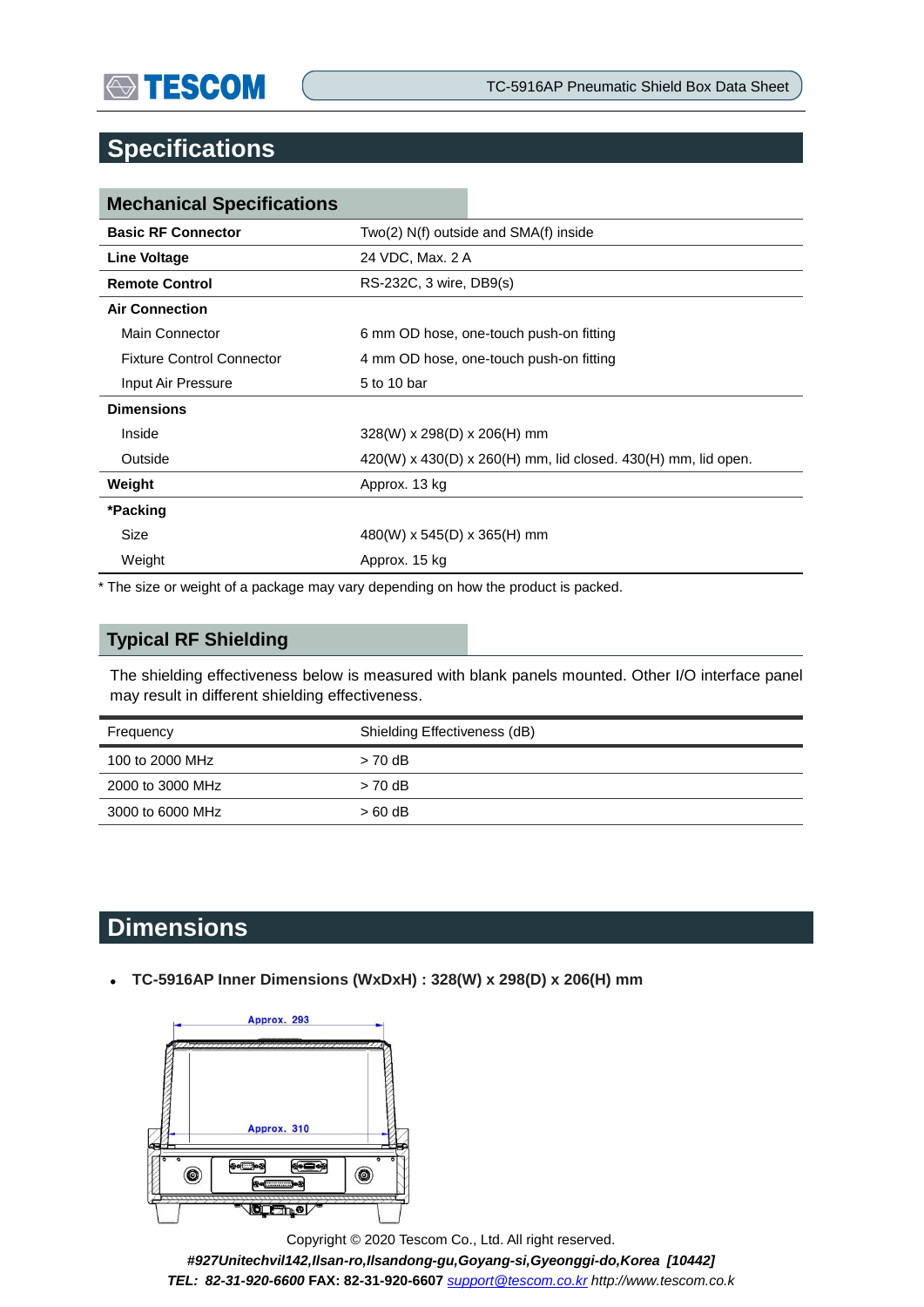## **Specifications**

| <b>Mechanical Specifications</b> |                                                               |  |
|----------------------------------|---------------------------------------------------------------|--|
| <b>Basic RF Connector</b>        | $Two(2) N(f)$ outside and $SMA(f)$ inside                     |  |
| <b>Line Voltage</b>              | 24 VDC, Max. 2 A                                              |  |
| <b>Remote Control</b>            | RS-232C, 3 wire, DB9(s)                                       |  |
| <b>Air Connection</b>            |                                                               |  |
| Main Connector                   | 6 mm OD hose, one-touch push-on fitting                       |  |
| <b>Fixture Control Connector</b> | 4 mm OD hose, one-touch push-on fitting                       |  |
| Input Air Pressure               | 5 to 10 bar                                                   |  |
| <b>Dimensions</b>                |                                                               |  |
| Inside                           | $328(W)$ x 298(D) x 206(H) mm                                 |  |
| Outside                          | 420(W) x 430(D) x 260(H) mm, lid closed. 430(H) mm, lid open. |  |
| Weight                           | Approx. 13 kg                                                 |  |
| *Packing                         |                                                               |  |
| Size                             | 480(W) x 545(D) x 365(H) mm                                   |  |
| Weight                           | Approx. 15 kg                                                 |  |

\* The size or weight of a package may vary depending on how the product is packed.

### **Typical RF Shielding**

The shielding effectiveness below is measured with blank panels mounted. Other I/O interface panel may result in different shielding effectiveness.

| Frequency<br>the contract of the contract of the | Shielding Effectiveness (dB) |
|--------------------------------------------------|------------------------------|
| 100 to 2000 MHz                                  | $> 70$ dB                    |
| 2000 to 3000 MHz                                 | $> 70$ dB                    |
| 3000 to 6000 MHz                                 | $>60$ dB                     |

# **Dimensions**

**TC-5916AP Inner Dimensions (WxDxH) : 328(W) x 298(D) x 206(H) mm** 



Copyright © 2020 Tescom Co., Ltd. All right reserved. *#927Unitechvil142,Ilsan-ro,Ilsandong-gu,Goyang-si,Gyeonggi-do,Korea [10442] TEL: 82-31-920-6600* **FAX: 82-31-920-6607** *[support@tescom.co.kr](mailto:support@tescom.co.kr) http://www.tescom.co.k*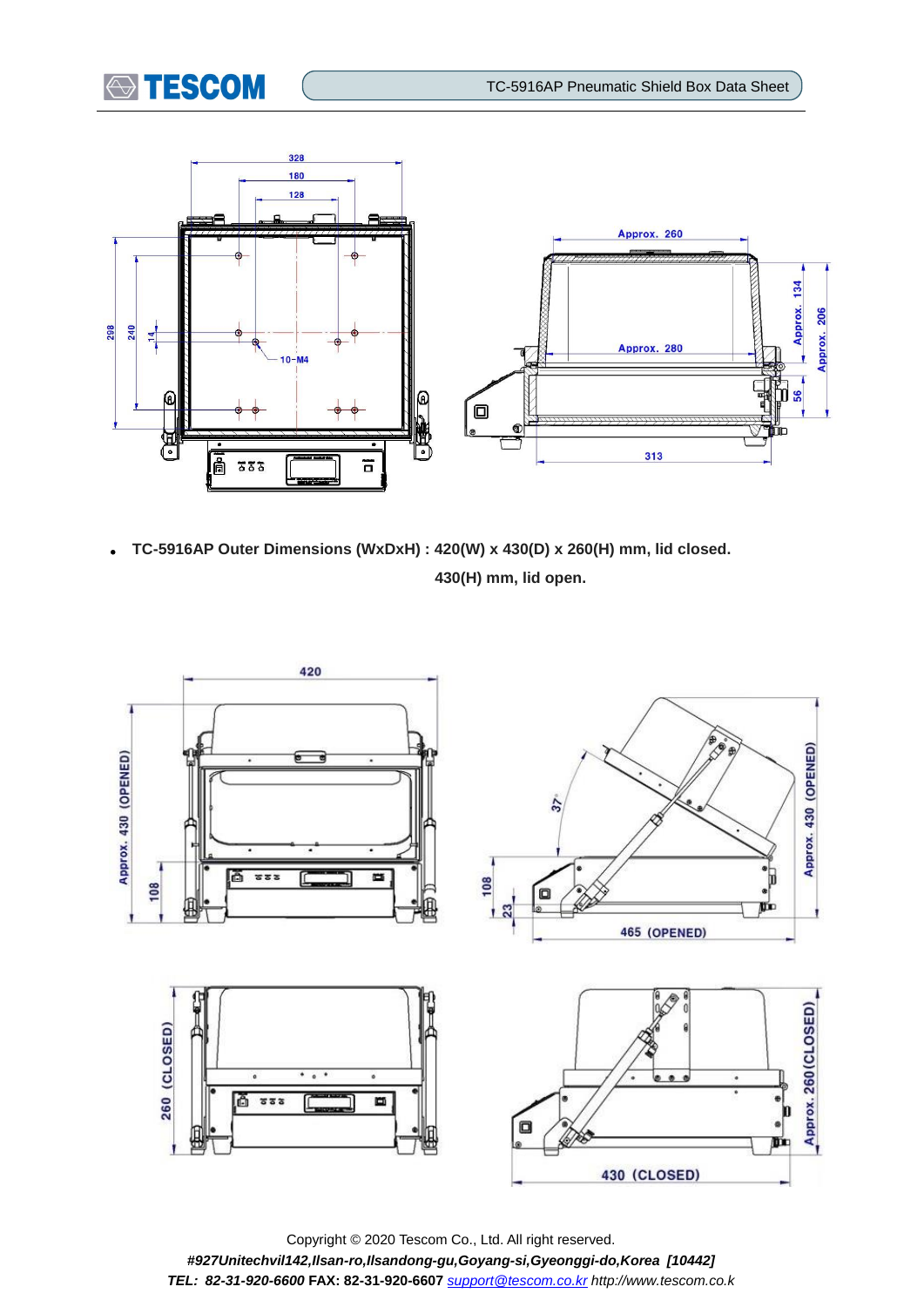



 **TC-5916AP Outer Dimensions (WxDxH) : 420(W) x 430(D) x 260(H) mm, lid closed. 430(H) mm, lid open.**



Copyright © 2020 Tescom Co., Ltd. All right reserved. *#927Unitechvil142,Ilsan-ro,Ilsandong-gu,Goyang-si,Gyeonggi-do,Korea [10442] TEL: 82-31-920-6600* **FAX: 82-31-920-6607** *[support@tescom.co.kr](mailto:support@tescom.co.kr) http://www.tescom.co.k*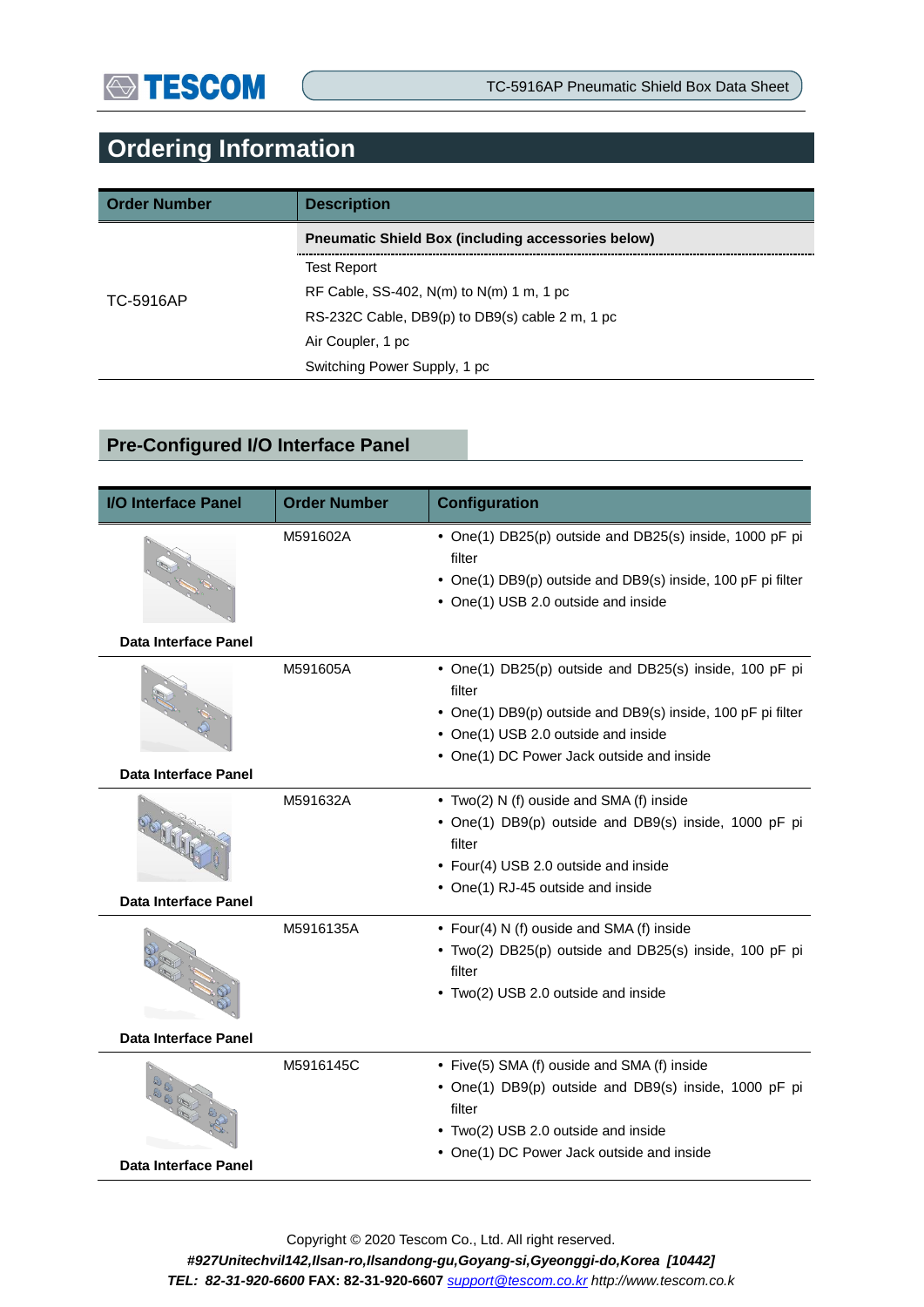# **Ordering Information**

| <b>Order Number</b> | <b>Description</b>                                        |  |
|---------------------|-----------------------------------------------------------|--|
|                     | <b>Preumatic Shield Box (including accessories below)</b> |  |
|                     | <b>Test Report</b>                                        |  |
| TC-5916AP           | RF Cable, SS-402, $N(m)$ to $N(m)$ 1 m, 1 pc              |  |
|                     | RS-232C Cable, DB9(p) to DB9(s) cable 2 m, 1 pc           |  |
|                     | Air Coupler, 1 pc                                         |  |
|                     | Switching Power Supply, 1 pc                              |  |

## **Pre-Configured I/O Interface Panel**

| <b>I/O Interface Panel</b>           | <b>Order Number</b> | <b>Configuration</b>                                                                                                                                                                                                |  |
|--------------------------------------|---------------------|---------------------------------------------------------------------------------------------------------------------------------------------------------------------------------------------------------------------|--|
|                                      | M591602A            | • One(1) DB25(p) outside and DB25(s) inside, 1000 pF pi<br>filter<br>• One(1) DB9(p) outside and DB9(s) inside, 100 pF pi filter<br>• One(1) USB 2.0 outside and inside                                             |  |
| Data Interface Panel                 |                     |                                                                                                                                                                                                                     |  |
| <b>Data Interface Panel</b>          | M591605A            | • One(1) DB25(p) outside and DB25(s) inside, 100 pF pi<br>filter<br>• One(1) DB9(p) outside and DB9(s) inside, 100 pF pi filter<br>• One(1) USB 2.0 outside and inside<br>• One(1) DC Power Jack outside and inside |  |
| OCHAR<br><b>Data Interface Panel</b> | M591632A            | • Two(2) N (f) ouside and SMA (f) inside<br>• One(1) DB9(p) outside and DB9(s) inside, 1000 pF pi<br>filter<br>• Four(4) USB 2.0 outside and inside<br>• One(1) RJ-45 outside and inside                            |  |
| Data Interface Panel                 | M5916135A           | • Four(4) N (f) ouside and SMA (f) inside<br>• Two(2) DB25(p) outside and DB25(s) inside, 100 pF pi<br>filter<br>• Two(2) USB 2.0 outside and inside                                                                |  |
|                                      | M5916145C           | • Five(5) SMA (f) ouside and SMA (f) inside                                                                                                                                                                         |  |
| Data Interface Panel                 |                     | • One(1) DB9(p) outside and DB9(s) inside, 1000 pF pi<br>filter<br>• Two(2) USB 2.0 outside and inside<br>• One(1) DC Power Jack outside and inside                                                                 |  |

Copyright © 2020 Tescom Co., Ltd. All right reserved. *#927Unitechvil142,Ilsan-ro,Ilsandong-gu,Goyang-si,Gyeonggi-do,Korea [10442] TEL: 82-31-920-6600* **FAX: 82-31-920-6607** *[support@tescom.co.kr](mailto:support@tescom.co.kr) http://www.tescom.co.k*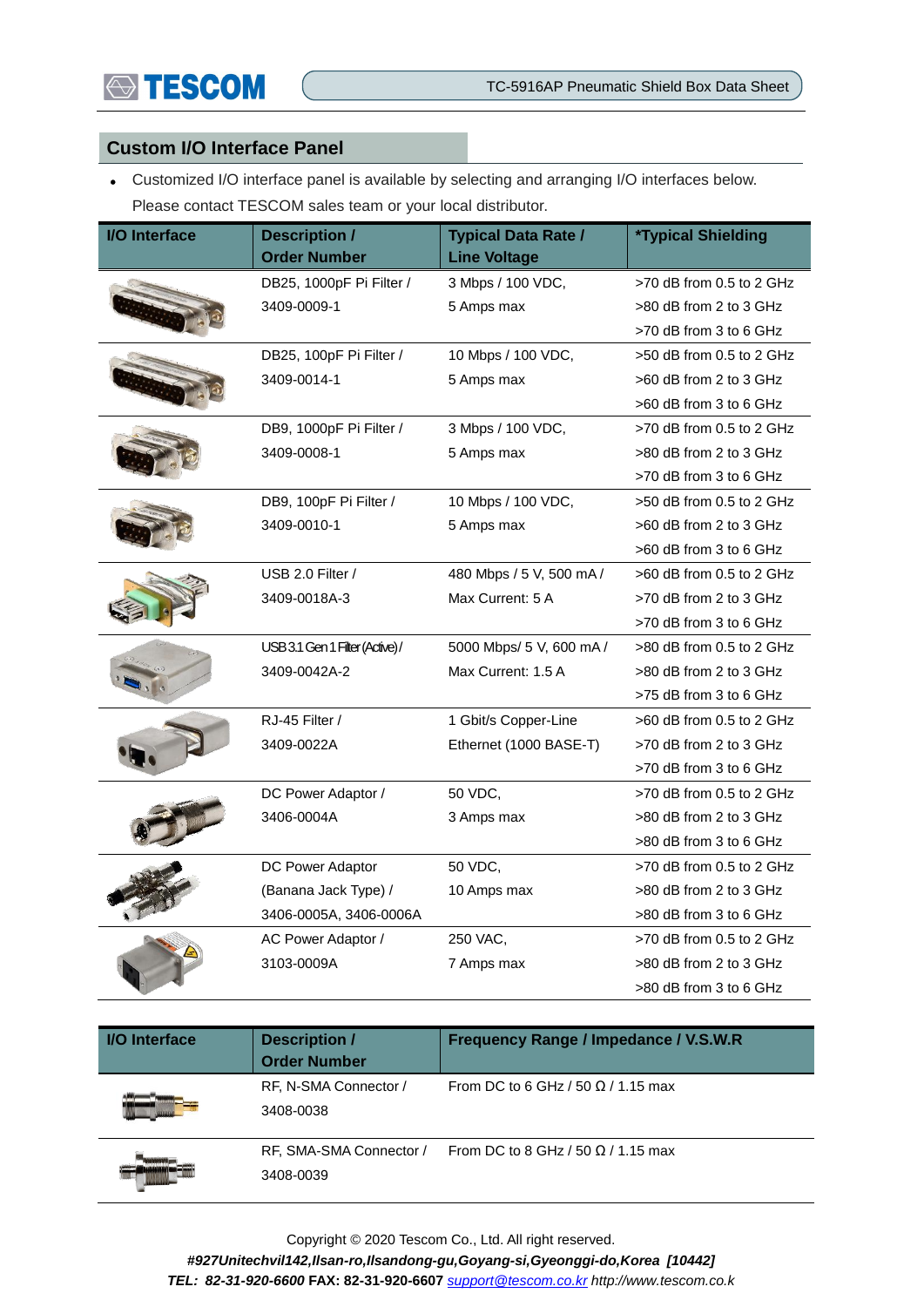#### **Custom I/O Interface Panel**

 Customized I/O interface panel is available by selecting and arranging I/O interfaces below. Please contact TESCOM sales team or your local distributor.

| <b>I/O Interface</b> | <b>Description /</b><br><b>Order Number</b> | <b>Typical Data Rate /</b><br><b>Line Voltage</b> | <i><b>*Typical Shielding</b></i> |
|----------------------|---------------------------------------------|---------------------------------------------------|----------------------------------|
|                      | DB25, 1000pF Pi Filter /                    | 3 Mbps / 100 VDC,                                 | >70 dB from 0.5 to 2 GHz         |
|                      | 3409-0009-1                                 | 5 Amps max                                        | >80 dB from 2 to 3 GHz           |
|                      |                                             |                                                   | >70 dB from 3 to 6 GHz           |
|                      | DB25, 100pF Pi Filter /                     | 10 Mbps / 100 VDC,                                | >50 dB from 0.5 to 2 GHz         |
|                      | 3409-0014-1                                 | 5 Amps max                                        | $>60$ dB from 2 to 3 GHz         |
|                      |                                             |                                                   | >60 dB from 3 to 6 GHz           |
|                      | DB9, 1000pF Pi Filter /                     | 3 Mbps / 100 VDC,                                 | $>70$ dB from 0.5 to 2 GHz       |
|                      | 3409-0008-1                                 | 5 Amps max                                        | >80 dB from 2 to 3 GHz           |
|                      |                                             |                                                   | >70 dB from 3 to 6 GHz           |
|                      | DB9, 100pF Pi Filter /                      | 10 Mbps / 100 VDC,                                | >50 dB from 0.5 to 2 GHz         |
|                      | 3409-0010-1                                 | 5 Amps max                                        | $>60$ dB from 2 to 3 GHz         |
|                      |                                             |                                                   | >60 dB from 3 to 6 GHz           |
|                      | USB 2.0 Filter /                            | 480 Mbps / 5 V, 500 mA /                          | $>60$ dB from 0.5 to 2 GHz       |
|                      | 3409-0018A-3                                | Max Current: 5 A                                  | >70 dB from 2 to 3 GHz           |
|                      |                                             |                                                   | >70 dB from 3 to 6 GHz           |
|                      | USB 3.1 Gen 1 Filter (Active)/              | 5000 Mbps/ 5 V, 600 mA /                          | >80 dB from 0.5 to 2 GHz         |
|                      | 3409-0042A-2                                | Max Current: 1.5 A                                | >80 dB from 2 to 3 GHz           |
|                      |                                             |                                                   | >75 dB from 3 to 6 GHz           |
|                      | RJ-45 Filter /                              | 1 Gbit/s Copper-Line                              | $>60$ dB from 0.5 to 2 GHz       |
|                      | 3409-0022A                                  | Ethernet (1000 BASE-T)                            | >70 dB from 2 to 3 GHz           |
|                      |                                             |                                                   | >70 dB from 3 to 6 GHz           |
|                      | DC Power Adaptor /                          | 50 VDC,                                           | >70 dB from 0.5 to 2 GHz         |
|                      | 3406-0004A                                  | 3 Amps max                                        | >80 dB from 2 to 3 GHz           |
|                      |                                             |                                                   | >80 dB from 3 to 6 GHz           |
|                      | DC Power Adaptor                            | 50 VDC,                                           | >70 dB from 0.5 to 2 GHz         |
|                      | (Banana Jack Type) /                        | 10 Amps max                                       | >80 dB from 2 to 3 GHz           |
|                      | 3406-0005A, 3406-0006A                      |                                                   | >80 dB from 3 to 6 GHz           |
|                      | AC Power Adaptor /                          | 250 VAC,                                          | >70 dB from 0.5 to 2 GHz         |
|                      | 3103-0009A                                  | 7 Amps max                                        | >80 dB from 2 to 3 GHz           |
|                      |                                             |                                                   | >80 dB from 3 to 6 GHz           |

| <b>I/O</b> Interface | <b>Description /</b><br><b>Order Number</b> | Frequency Range / Impedance / V.S.W.R     |
|----------------------|---------------------------------------------|-------------------------------------------|
|                      | RF, N-SMA Connector /<br>3408-0038          | From DC to 6 GHz / 50 $\Omega$ / 1.15 max |
|                      | RF, SMA-SMA Connector /<br>3408-0039        | From DC to 8 GHz / 50 $\Omega$ / 1.15 max |